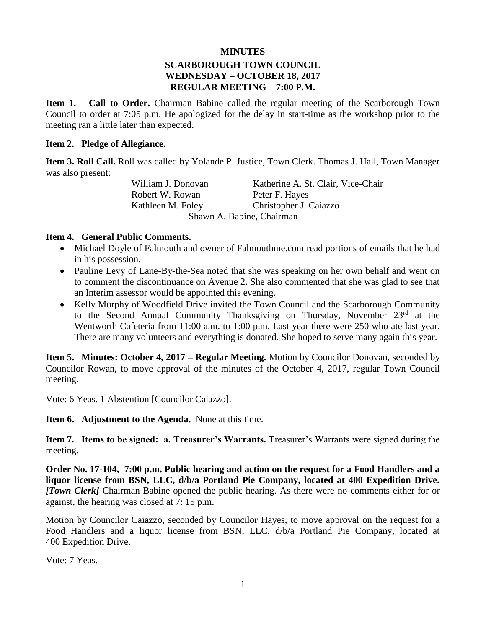#### **MINUTES**

### **SCARBOROUGH TOWN COUNCIL WEDNESDAY – OCTOBER 18, 2017 REGULAR MEETING – 7:00 P.M.**

**Item 1. Call to Order.** Chairman Babine called the regular meeting of the Scarborough Town Council to order at 7:05 p.m. He apologized for the delay in start-time as the workshop prior to the meeting ran a little later than expected.

#### **Item 2. Pledge of Allegiance.**

**Item 3. Roll Call.** Roll was called by Yolande P. Justice, Town Clerk. Thomas J. Hall, Town Manager was also present:

> William J. Donovan Katherine A. St. Clair, Vice-Chair Robert W. Rowan Peter F. Hayes Kathleen M. Foley Christopher J. Caiazzo Shawn A. Babine, Chairman

#### **Item 4. General Public Comments.**

- Michael Doyle of Falmouth and owner of Falmouthme.com read portions of emails that he had in his possession.
- Pauline Levy of Lane-By-the-Sea noted that she was speaking on her own behalf and went on to comment the discontinuance on Avenue 2. She also commented that she was glad to see that an Interim assessor would be appointed this evening.
- Kelly Murphy of Woodfield Drive invited the Town Council and the Scarborough Community to the Second Annual Community Thanksgiving on Thursday, November 23<sup>rd</sup> at the Wentworth Cafeteria from 11:00 a.m. to 1:00 p.m. Last year there were 250 who ate last year. There are many volunteers and everything is donated. She hoped to serve many again this year.

**Item 5. Minutes: October 4, 2017 – Regular Meeting.** Motion by Councilor Donovan, seconded by Councilor Rowan, to move approval of the minutes of the October 4, 2017, regular Town Council meeting.

Vote: 6 Yeas. 1 Abstention [Councilor Caiazzo].

**Item 6. Adjustment to the Agenda.** None at this time.

**Item 7. Items to be signed: a. Treasurer's Warrants.** Treasurer's Warrants were signed during the meeting.

**Order No. 17-104, 7:00 p.m. Public hearing and action on the request for a Food Handlers and a liquor license from BSN, LLC, d/b/a Portland Pie Company, located at 400 Expedition Drive.**  *[Town Clerk]* Chairman Babine opened the public hearing. As there were no comments either for or against, the hearing was closed at 7: 15 p.m.

Motion by Councilor Caiazzo, seconded by Councilor Hayes, to move approval on the request for a Food Handlers and a liquor license from BSN, LLC, d/b/a Portland Pie Company, located at 400 Expedition Drive.

Vote: 7 Yeas.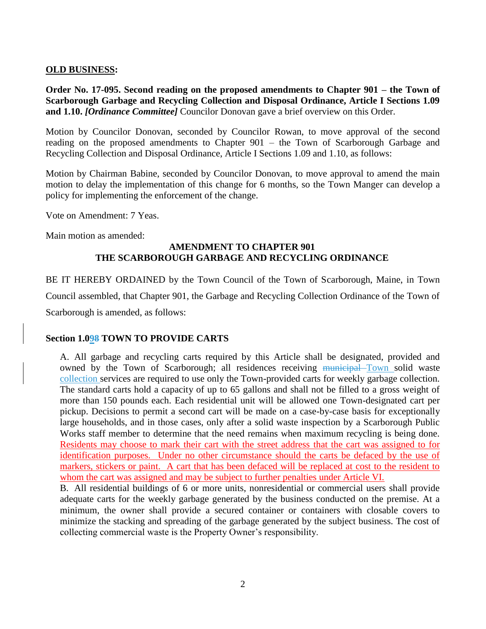### **OLD BUSINESS:**

**Order No. 17-095. Second reading on the proposed amendments to Chapter 901 – the Town of Scarborough Garbage and Recycling Collection and Disposal Ordinance, Article I Sections 1.09 and 1.10.** *[Ordinance Committee]* Councilor Donovan gave a brief overview on this Order.

Motion by Councilor Donovan, seconded by Councilor Rowan, to move approval of the second reading on the proposed amendments to Chapter 901 – the Town of Scarborough Garbage and Recycling Collection and Disposal Ordinance, Article I Sections 1.09 and 1.10, as follows:

Motion by Chairman Babine, seconded by Councilor Donovan, to move approval to amend the main motion to delay the implementation of this change for 6 months, so the Town Manger can develop a policy for implementing the enforcement of the change.

Vote on Amendment: 7 Yeas.

Main motion as amended:

### **AMENDMENT TO CHAPTER 901 THE SCARBOROUGH GARBAGE AND RECYCLING ORDINANCE**

BE IT HEREBY ORDAINED by the Town Council of the Town of Scarborough, Maine, in Town Council assembled, that Chapter 901, the Garbage and Recycling Collection Ordinance of the Town of Scarborough is amended, as follows:

### **Section 1.098 TOWN TO PROVIDE CARTS**

A. All garbage and recycling carts required by this Article shall be designated, provided and owned by the Town of Scarborough; all residences receiving municipal Town solid waste collection services are required to use only the Town-provided carts for weekly garbage collection. The standard carts hold a capacity of up to 65 gallons and shall not be filled to a gross weight of more than 150 pounds each. Each residential unit will be allowed one Town-designated cart per pickup. Decisions to permit a second cart will be made on a case-by-case basis for exceptionally large households, and in those cases, only after a solid waste inspection by a Scarborough Public Works staff member to determine that the need remains when maximum recycling is being done. Residents may choose to mark their cart with the street address that the cart was assigned to for identification purposes. Under no other circumstance should the carts be defaced by the use of markers, stickers or paint. A cart that has been defaced will be replaced at cost to the resident to whom the cart was assigned and may be subject to further penalties under Article VI.

B. All residential buildings of 6 or more units, nonresidential or commercial users shall provide adequate carts for the weekly garbage generated by the business conducted on the premise. At a minimum, the owner shall provide a secured container or containers with closable covers to minimize the stacking and spreading of the garbage generated by the subject business. The cost of collecting commercial waste is the Property Owner's responsibility.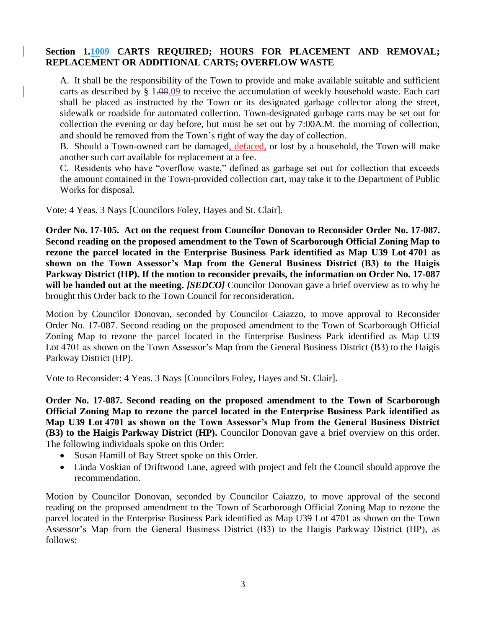#### **Section 1.1009 CARTS REQUIRED; HOURS FOR PLACEMENT AND REMOVAL; REPLACEMENT OR ADDITIONAL CARTS; OVERFLOW WASTE**

A. It shall be the responsibility of the Town to provide and make available suitable and sufficient carts as described by § 1.08.09 to receive the accumulation of weekly household waste. Each cart shall be placed as instructed by the Town or its designated garbage collector along the street, sidewalk or roadside for automated collection. Town-designated garbage carts may be set out for collection the evening or day before, but must be set out by 7:00A.M. the morning of collection, and should be removed from the Town's right of way the day of collection.

B. Should a Town-owned cart be damaged, defaced, or lost by a household, the Town will make another such cart available for replacement at a fee.

C. Residents who have "overflow waste," defined as garbage set out for collection that exceeds the amount contained in the Town-provided collection cart, may take it to the Department of Public Works for disposal.

Vote: 4 Yeas. 3 Nays [Councilors Foley, Hayes and St. Clair].

**Order No. 17-105. Act on the request from Councilor Donovan to Reconsider Order No. 17-087. Second reading on the proposed amendment to the Town of Scarborough Official Zoning Map to rezone the parcel located in the Enterprise Business Park identified as Map U39 Lot 4701 as shown on the Town Assessor's Map from the General Business District (B3) to the Haigis Parkway District (HP). If the motion to reconsider prevails, the information on Order No. 17-087 will be handed out at the meeting.** *[SEDCO]* Councilor Donovan gave a brief overview as to why he brought this Order back to the Town Council for reconsideration.

Motion by Councilor Donovan, seconded by Councilor Caiazzo, to move approval to Reconsider Order No. 17-087. Second reading on the proposed amendment to the Town of Scarborough Official Zoning Map to rezone the parcel located in the Enterprise Business Park identified as Map U39 Lot 4701 as shown on the Town Assessor's Map from the General Business District (B3) to the Haigis Parkway District (HP).

Vote to Reconsider: 4 Yeas. 3 Nays [Councilors Foley, Hayes and St. Clair].

**Order No. 17-087. Second reading on the proposed amendment to the Town of Scarborough Official Zoning Map to rezone the parcel located in the Enterprise Business Park identified as Map U39 Lot 4701 as shown on the Town Assessor's Map from the General Business District (B3) to the Haigis Parkway District (HP).** Councilor Donovan gave a brief overview on this order. The following individuals spoke on this Order:

- Susan Hamill of Bay Street spoke on this Order.
- Linda Voskian of Driftwood Lane, agreed with project and felt the Council should approve the recommendation.

Motion by Councilor Donovan, seconded by Councilor Caiazzo, to move approval of the second reading on the proposed amendment to the Town of Scarborough Official Zoning Map to rezone the parcel located in the Enterprise Business Park identified as Map U39 Lot 4701 as shown on the Town Assessor's Map from the General Business District (B3) to the Haigis Parkway District (HP), as follows: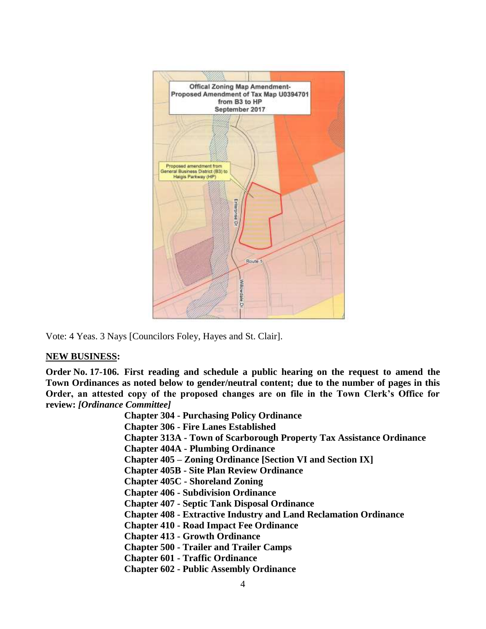

Vote: 4 Yeas. 3 Nays [Councilors Foley, Hayes and St. Clair].

#### **NEW BUSINESS:**

**Order No. 17-106. First reading and schedule a public hearing on the request to amend the Town Ordinances as noted below to gender/neutral content; due to the number of pages in this Order, an attested copy of the proposed changes are on file in the Town Clerk's Office for review:** *[Ordinance Committee]*

> **Chapter 304 - Purchasing Policy Ordinance Chapter 306 - Fire Lanes Established Chapter 313A - Town of Scarborough Property Tax Assistance Ordinance Chapter 404A - Plumbing Ordinance Chapter 405 – Zoning Ordinance [Section VI and Section IX] Chapter 405B - Site Plan Review Ordinance Chapter 405C - Shoreland Zoning Chapter 406 - Subdivision Ordinance Chapter 407 - Septic Tank Disposal Ordinance Chapter 408 - Extractive Industry and Land Reclamation Ordinance Chapter 410 - Road Impact Fee Ordinance Chapter 413 - Growth Ordinance Chapter 500 - Trailer and Trailer Camps Chapter 601 - Traffic Ordinance Chapter 602 - Public Assembly Ordinance**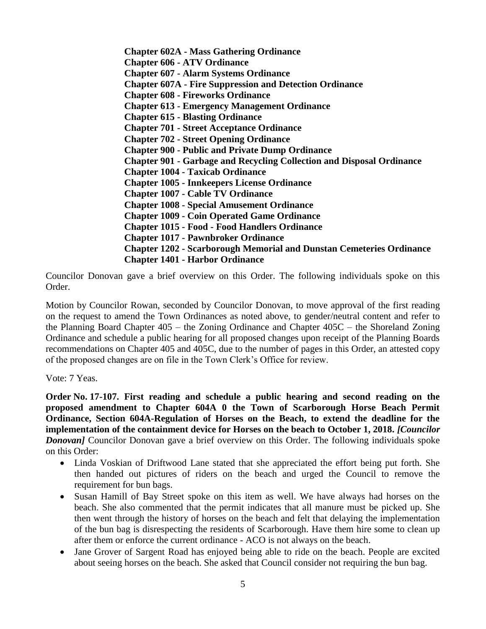**Chapter 602A - Mass Gathering Ordinance Chapter 606 - ATV Ordinance Chapter 607 - Alarm Systems Ordinance Chapter 607A - Fire Suppression and Detection Ordinance Chapter 608 - Fireworks Ordinance Chapter 613 - Emergency Management Ordinance Chapter 615 - Blasting Ordinance Chapter 701 - Street Acceptance Ordinance Chapter 702 - Street Opening Ordinance Chapter 900 - Public and Private Dump Ordinance Chapter 901 - Garbage and Recycling Collection and Disposal Ordinance Chapter 1004 - Taxicab Ordinance Chapter 1005 - Innkeepers License Ordinance Chapter 1007 - Cable TV Ordinance Chapter 1008 - Special Amusement Ordinance Chapter 1009 - Coin Operated Game Ordinance Chapter 1015 - Food - Food Handlers Ordinance Chapter 1017 - Pawnbroker Ordinance Chapter 1202 - Scarborough Memorial and Dunstan Cemeteries Ordinance Chapter 1401 - Harbor Ordinance**

Councilor Donovan gave a brief overview on this Order. The following individuals spoke on this Order.

Motion by Councilor Rowan, seconded by Councilor Donovan, to move approval of the first reading on the request to amend the Town Ordinances as noted above, to gender/neutral content and refer to the Planning Board Chapter 405 – the Zoning Ordinance and Chapter 405C – the Shoreland Zoning Ordinance and schedule a public hearing for all proposed changes upon receipt of the Planning Boards recommendations on Chapter 405 and 405C, due to the number of pages in this Order, an attested copy of the proposed changes are on file in the Town Clerk's Office for review.

Vote: 7 Yeas.

**Order No. 17-107. First reading and schedule a public hearing and second reading on the proposed amendment to Chapter 604A 0 the Town of Scarborough Horse Beach Permit Ordinance, Section 604A-Regulation of Horses on the Beach, to extend the deadline for the implementation of the containment device for Horses on the beach to October 1, 2018.** *[Councilor*  **Donovan]** Councilor Donovan gave a brief overview on this Order. The following individuals spoke on this Order:

- Linda Voskian of Driftwood Lane stated that she appreciated the effort being put forth. She then handed out pictures of riders on the beach and urged the Council to remove the requirement for bun bags.
- Susan Hamill of Bay Street spoke on this item as well. We have always had horses on the beach. She also commented that the permit indicates that all manure must be picked up. She then went through the history of horses on the beach and felt that delaying the implementation of the bun bag is disrespecting the residents of Scarborough. Have them hire some to clean up after them or enforce the current ordinance - ACO is not always on the beach.
- Jane Grover of Sargent Road has enjoyed being able to ride on the beach. People are excited about seeing horses on the beach. She asked that Council consider not requiring the bun bag.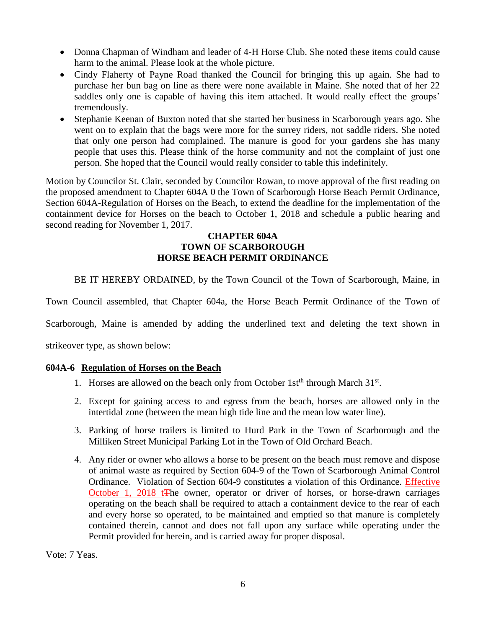- Donna Chapman of Windham and leader of 4-H Horse Club. She noted these items could cause harm to the animal. Please look at the whole picture.
- Cindy Flaherty of Payne Road thanked the Council for bringing this up again. She had to purchase her bun bag on line as there were none available in Maine. She noted that of her 22 saddles only one is capable of having this item attached. It would really effect the groups' tremendously.
- Stephanie Keenan of Buxton noted that she started her business in Scarborough years ago. She went on to explain that the bags were more for the surrey riders, not saddle riders. She noted that only one person had complained. The manure is good for your gardens she has many people that uses this. Please think of the horse community and not the complaint of just one person. She hoped that the Council would really consider to table this indefinitely.

Motion by Councilor St. Clair, seconded by Councilor Rowan, to move approval of the first reading on the proposed amendment to Chapter 604A 0 the Town of Scarborough Horse Beach Permit Ordinance, Section 604A-Regulation of Horses on the Beach, to extend the deadline for the implementation of the containment device for Horses on the beach to October 1, 2018 and schedule a public hearing and second reading for November 1, 2017.

### **CHAPTER 604A TOWN OF SCARBOROUGH HORSE BEACH PERMIT ORDINANCE**

BE IT HEREBY ORDAINED, by the Town Council of the Town of Scarborough, Maine, in

Town Council assembled, that Chapter 604a, the Horse Beach Permit Ordinance of the Town of

Scarborough, Maine is amended by adding the underlined text and deleting the text shown in

strikeover type, as shown below:

### **604A-6 Regulation of Horses on the Beach**

- 1. Horses are allowed on the beach only from October 1st<sup>th</sup> through March  $31<sup>st</sup>$ .
- 2. Except for gaining access to and egress from the beach, horses are allowed only in the intertidal zone (between the mean high tide line and the mean low water line).
- 3. Parking of horse trailers is limited to Hurd Park in the Town of Scarborough and the Milliken Street Municipal Parking Lot in the Town of Old Orchard Beach.
- 4. Any rider or owner who allows a horse to be present on the beach must remove and dispose of animal waste as required by Section 604-9 of the Town of Scarborough Animal Control Ordinance. Violation of Section 604-9 constitutes a violation of this Ordinance. Effective October 1, 2018 t<sub>The owner, operator or driver of horses, or horse-drawn carriages</sub> operating on the beach shall be required to attach a containment device to the rear of each and every horse so operated, to be maintained and emptied so that manure is completely contained therein, cannot and does not fall upon any surface while operating under the Permit provided for herein, and is carried away for proper disposal.

Vote: 7 Yeas.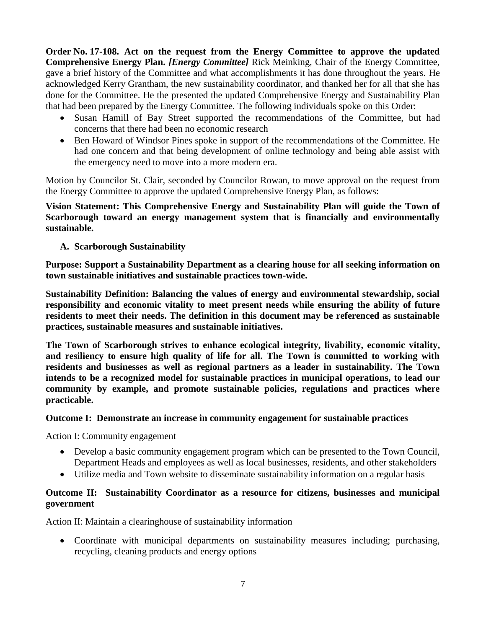**Order No. 17-108. Act on the request from the Energy Committee to approve the updated Comprehensive Energy Plan.** *[Energy Committee]* Rick Meinking, Chair of the Energy Committee, gave a brief history of the Committee and what accomplishments it has done throughout the years. He acknowledged Kerry Grantham, the new sustainability coordinator, and thanked her for all that she has done for the Committee. He the presented the updated Comprehensive Energy and Sustainability Plan that had been prepared by the Energy Committee. The following individuals spoke on this Order:

- Susan Hamill of Bay Street supported the recommendations of the Committee, but had concerns that there had been no economic research
- Ben Howard of Windsor Pines spoke in support of the recommendations of the Committee. He had one concern and that being development of online technology and being able assist with the emergency need to move into a more modern era.

Motion by Councilor St. Clair, seconded by Councilor Rowan, to move approval on the request from the Energy Committee to approve the updated Comprehensive Energy Plan, as follows:

**Vision Statement: This Comprehensive Energy and Sustainability Plan will guide the Town of Scarborough toward an energy management system that is financially and environmentally sustainable.**

# **A. Scarborough Sustainability**

**Purpose: Support a Sustainability Department as a clearing house for all seeking information on town sustainable initiatives and sustainable practices town-wide.**

**Sustainability Definition: Balancing the values of energy and environmental stewardship, social responsibility and economic vitality to meet present needs while ensuring the ability of future residents to meet their needs. The definition in this document may be referenced as sustainable practices, sustainable measures and sustainable initiatives.**

**The Town of Scarborough strives to enhance ecological integrity, livability, economic vitality, and resiliency to ensure high quality of life for all. The Town is committed to working with residents and businesses as well as regional partners as a leader in sustainability. The Town intends to be a recognized model for sustainable practices in municipal operations, to lead our community by example, and promote sustainable policies, regulations and practices where practicable.** 

## **Outcome I: Demonstrate an increase in community engagement for sustainable practices**

Action I: Community engagement

- Develop a basic community engagement program which can be presented to the Town Council, Department Heads and employees as well as local businesses, residents, and other stakeholders
- Utilize media and Town website to disseminate sustainability information on a regular basis

## **Outcome II: Sustainability Coordinator as a resource for citizens, businesses and municipal government**

Action II: Maintain a clearinghouse of sustainability information

 Coordinate with municipal departments on sustainability measures including; purchasing, recycling, cleaning products and energy options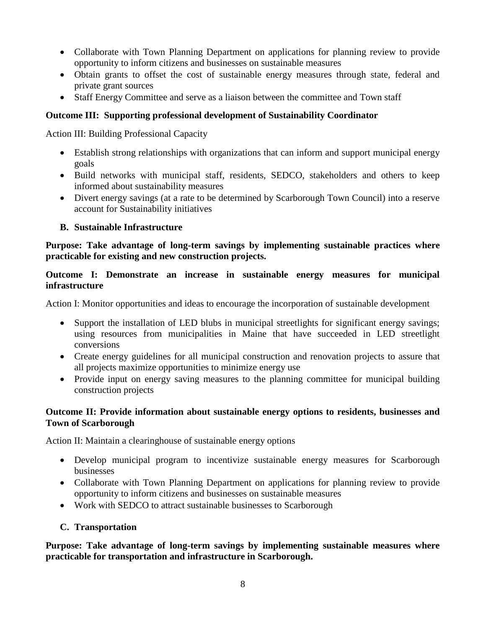- Collaborate with Town Planning Department on applications for planning review to provide opportunity to inform citizens and businesses on sustainable measures
- Obtain grants to offset the cost of sustainable energy measures through state, federal and private grant sources
- Staff Energy Committee and serve as a liaison between the committee and Town staff

## **Outcome III: Supporting professional development of Sustainability Coordinator**

Action III: Building Professional Capacity

- Establish strong relationships with organizations that can inform and support municipal energy goals
- Build networks with municipal staff, residents, SEDCO, stakeholders and others to keep informed about sustainability measures
- Divert energy savings (at a rate to be determined by Scarborough Town Council) into a reserve account for Sustainability initiatives

# **B. Sustainable Infrastructure**

**Purpose: Take advantage of long-term savings by implementing sustainable practices where practicable for existing and new construction projects.** 

## **Outcome I: Demonstrate an increase in sustainable energy measures for municipal infrastructure**

Action I: Monitor opportunities and ideas to encourage the incorporation of sustainable development

- Support the installation of LED blubs in municipal streetlights for significant energy savings; using resources from municipalities in Maine that have succeeded in LED streetlight conversions
- Create energy guidelines for all municipal construction and renovation projects to assure that all projects maximize opportunities to minimize energy use
- Provide input on energy saving measures to the planning committee for municipal building construction projects

## **Outcome II: Provide information about sustainable energy options to residents, businesses and Town of Scarborough**

Action II: Maintain a clearinghouse of sustainable energy options

- Develop municipal program to incentivize sustainable energy measures for Scarborough businesses
- Collaborate with Town Planning Department on applications for planning review to provide opportunity to inform citizens and businesses on sustainable measures
- Work with SEDCO to attract sustainable businesses to Scarborough

## **C. Transportation**

**Purpose: Take advantage of long-term savings by implementing sustainable measures where practicable for transportation and infrastructure in Scarborough.**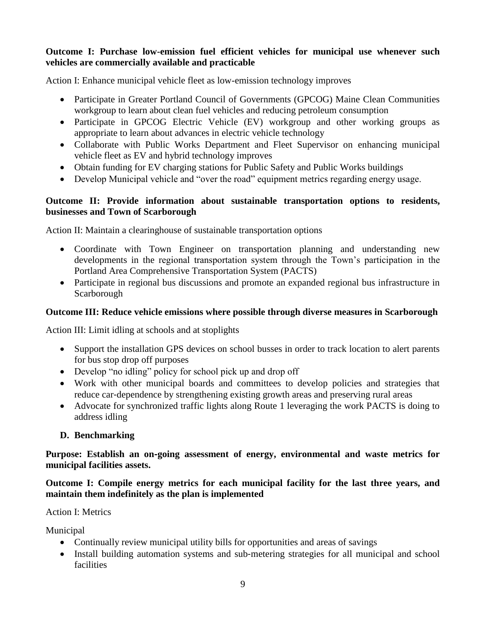## **Outcome I: Purchase low-emission fuel efficient vehicles for municipal use whenever such vehicles are commercially available and practicable**

Action I: Enhance municipal vehicle fleet as low-emission technology improves

- Participate in Greater Portland Council of Governments (GPCOG) Maine Clean Communities workgroup to learn about clean fuel vehicles and reducing petroleum consumption
- Participate in GPCOG Electric Vehicle (EV) workgroup and other working groups as appropriate to learn about advances in electric vehicle technology
- Collaborate with Public Works Department and Fleet Supervisor on enhancing municipal vehicle fleet as EV and hybrid technology improves
- Obtain funding for EV charging stations for Public Safety and Public Works buildings
- Develop Municipal vehicle and "over the road" equipment metrics regarding energy usage.

## **Outcome II: Provide information about sustainable transportation options to residents, businesses and Town of Scarborough**

Action II: Maintain a clearinghouse of sustainable transportation options

- Coordinate with Town Engineer on transportation planning and understanding new developments in the regional transportation system through the Town's participation in the Portland Area Comprehensive Transportation System (PACTS)
- Participate in regional bus discussions and promote an expanded regional bus infrastructure in Scarborough

## **Outcome III: Reduce vehicle emissions where possible through diverse measures in Scarborough**

Action III: Limit idling at schools and at stoplights

- Support the installation GPS devices on school busses in order to track location to alert parents for bus stop drop off purposes
- Develop "no idling" policy for school pick up and drop off
- Work with other municipal boards and committees to develop policies and strategies that reduce car-dependence by strengthening existing growth areas and preserving rural areas
- Advocate for synchronized traffic lights along Route 1 leveraging the work PACTS is doing to address idling

## **D. Benchmarking**

**Purpose: Establish an on**‐**going assessment of energy, environmental and waste metrics for municipal facilities assets.** 

**Outcome I: Compile energy metrics for each municipal facility for the last three years, and maintain them indefinitely as the plan is implemented**

### Action I: Metrics

Municipal

- Continually review municipal utility bills for opportunities and areas of savings
- Install building automation systems and sub-metering strategies for all municipal and school facilities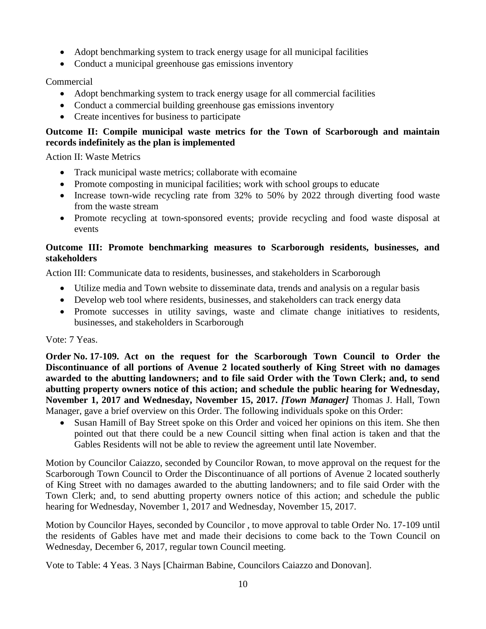- Adopt benchmarking system to track energy usage for all municipal facilities
- Conduct a municipal greenhouse gas emissions inventory

Commercial

- Adopt benchmarking system to track energy usage for all commercial facilities
- Conduct a commercial building greenhouse gas emissions inventory
- Create incentives for business to participate

# **Outcome II: Compile municipal waste metrics for the Town of Scarborough and maintain records indefinitely as the plan is implemented**

Action II: Waste Metrics

- Track municipal waste metrics; collaborate with ecomaine
- Promote composting in municipal facilities; work with school groups to educate
- Increase town-wide recycling rate from 32% to 50% by 2022 through diverting food waste from the waste stream
- Promote recycling at town-sponsored events; provide recycling and food waste disposal at events

# **Outcome III: Promote benchmarking measures to Scarborough residents, businesses, and stakeholders**

Action III: Communicate data to residents, businesses, and stakeholders in Scarborough

- Utilize media and Town website to disseminate data, trends and analysis on a regular basis
- Develop web tool where residents, businesses, and stakeholders can track energy data
- Promote successes in utility savings, waste and climate change initiatives to residents, businesses, and stakeholders in Scarborough

Vote: 7 Yeas.

**Order No. 17-109. Act on the request for the Scarborough Town Council to Order the Discontinuance of all portions of Avenue 2 located southerly of King Street with no damages awarded to the abutting landowners; and to file said Order with the Town Clerk; and, to send abutting property owners notice of this action; and schedule the public hearing for Wednesday, November 1, 2017 and Wednesday, November 15, 2017.** *[Town Manager]* Thomas J. Hall, Town Manager, gave a brief overview on this Order. The following individuals spoke on this Order:

• Susan Hamill of Bay Street spoke on this Order and voiced her opinions on this item. She then pointed out that there could be a new Council sitting when final action is taken and that the Gables Residents will not be able to review the agreement until late November.

Motion by Councilor Caiazzo, seconded by Councilor Rowan, to move approval on the request for the Scarborough Town Council to Order the Discontinuance of all portions of Avenue 2 located southerly of King Street with no damages awarded to the abutting landowners; and to file said Order with the Town Clerk; and, to send abutting property owners notice of this action; and schedule the public hearing for Wednesday, November 1, 2017 and Wednesday, November 15, 2017.

Motion by Councilor Hayes, seconded by Councilor , to move approval to table Order No. 17-109 until the residents of Gables have met and made their decisions to come back to the Town Council on Wednesday, December 6, 2017, regular town Council meeting.

Vote to Table: 4 Yeas. 3 Nays [Chairman Babine, Councilors Caiazzo and Donovan].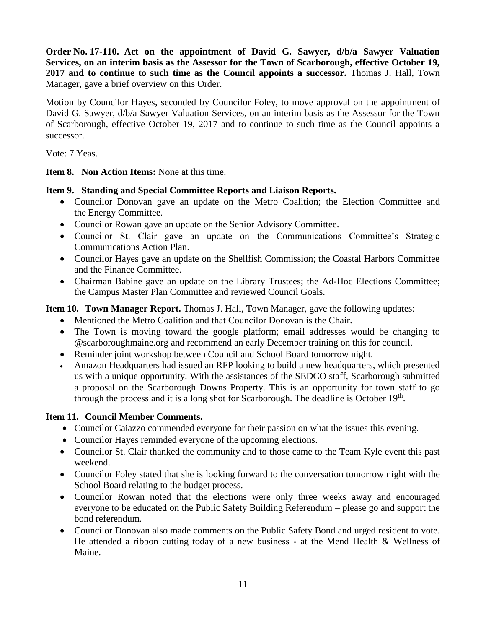**Order No. 17-110. Act on the appointment of David G. Sawyer, d/b/a Sawyer Valuation Services, on an interim basis as the Assessor for the Town of Scarborough, effective October 19, 2017 and to continue to such time as the Council appoints a successor.** Thomas J. Hall, Town Manager, gave a brief overview on this Order.

Motion by Councilor Hayes, seconded by Councilor Foley, to move approval on the appointment of David G. Sawyer, d/b/a Sawyer Valuation Services, on an interim basis as the Assessor for the Town of Scarborough, effective October 19, 2017 and to continue to such time as the Council appoints a successor.

Vote: 7 Yeas.

**Item 8. Non Action Items:** None at this time.

## **Item 9. Standing and Special Committee Reports and Liaison Reports.**

- Councilor Donovan gave an update on the Metro Coalition; the Election Committee and the Energy Committee.
- Councilor Rowan gave an update on the Senior Advisory Committee.
- Councilor St. Clair gave an update on the Communications Committee's Strategic Communications Action Plan.
- Councilor Hayes gave an update on the Shellfish Commission; the Coastal Harbors Committee and the Finance Committee.
- Chairman Babine gave an update on the Library Trustees; the Ad-Hoc Elections Committee; the Campus Master Plan Committee and reviewed Council Goals.

**Item 10. Town Manager Report.** Thomas J. Hall, Town Manager, gave the following updates:

- Mentioned the Metro Coalition and that Councilor Donovan is the Chair.
- The Town is moving toward the google platform; email addresses would be changing to @scarboroughmaine.org and recommend an early December training on this for council.
- Reminder joint workshop between Council and School Board tomorrow night.
- Amazon Headquarters had issued an RFP looking to build a new headquarters, which presented us with a unique opportunity. With the assistances of the SEDCO staff, Scarborough submitted a proposal on the Scarborough Downs Property. This is an opportunity for town staff to go through the process and it is a long shot for Scarborough. The deadline is October  $19<sup>th</sup>$ .

# **Item 11. Council Member Comments.**

- Councilor Caiazzo commended everyone for their passion on what the issues this evening.
- Councilor Hayes reminded everyone of the upcoming elections.
- Councilor St. Clair thanked the community and to those came to the Team Kyle event this past weekend.
- Councilor Foley stated that she is looking forward to the conversation tomorrow night with the School Board relating to the budget process.
- Councilor Rowan noted that the elections were only three weeks away and encouraged everyone to be educated on the Public Safety Building Referendum – please go and support the bond referendum.
- Councilor Donovan also made comments on the Public Safety Bond and urged resident to vote. He attended a ribbon cutting today of a new business - at the Mend Health & Wellness of Maine.